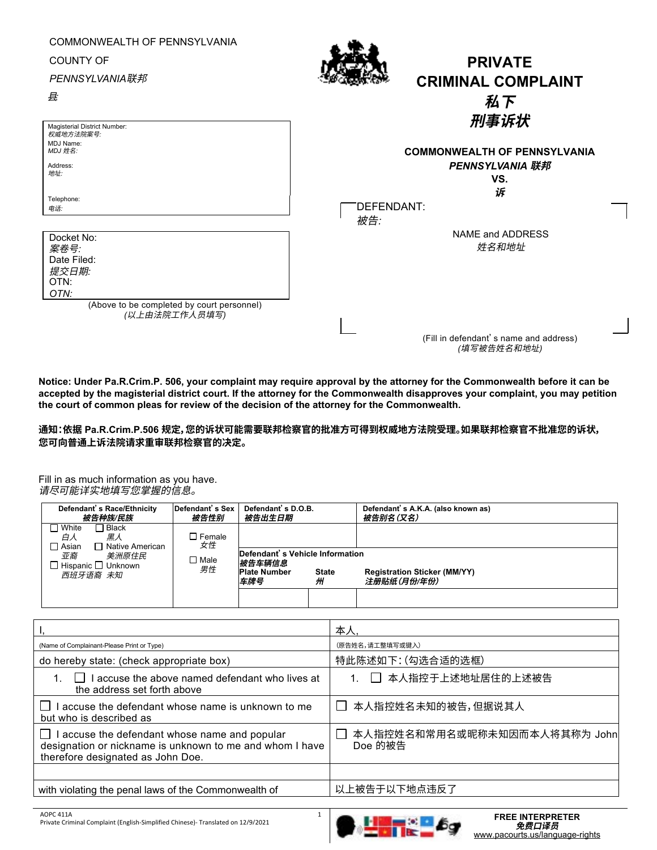| COMMONWEALTH OF PENNSYLVANIA<br><b>COUNTY OF</b><br><b>PENNSYLVANIA联邦</b><br>县 | <b>PRIVATE</b><br><b>CRIMINAL COMPLAINT</b><br>私下     |
|--------------------------------------------------------------------------------|-------------------------------------------------------|
| Magisterial District Number:                                                   | 刑事诉状                                                  |
| 权威地方法院案号:<br>MDJ Name:<br>MDJ 姓名:                                              | <b>COMMONWEALTH OF PENNSYLVANIA</b>                   |
| Address:<br>地址:                                                                | <b>PENNSYLVANIA 联邦</b><br>VS.                         |
| Telephone:<br>电话                                                               | 诉<br>DEFENDANT:<br>被告:                                |
| Docket No:<br>案卷号:                                                             | <b>NAME and ADDRESS</b><br>姓名和地址                      |
| Date Filed:<br>提交日期:                                                           |                                                       |
| OTN:<br>OTN:                                                                   |                                                       |
| (Above to be completed by court personnel)<br>(以上由法院工作人员填写)                    |                                                       |
|                                                                                | (Fill in defendant's name and address)<br>(填写被告姓名和地址) |

**Notice: Under Pa.R.Crim.P. 506, your complaint may require approval by the attorney for the Commonwealth before it can be accepted by the magisterial district court. If the attorney for the Commonwealth disapproves your complaint, you may petition the court of common pleas for review of the decision of the attorney for the Commonwealth.** 

## **通知:依据 Pa.R.Crim.P.506 规定,您的诉状可能需要联邦检察官的批准方可得到权威地方法院受理。如果联邦检察官不批准您的诉状, 您可向普通上诉法院请求重审联邦检察官的决定。**

Fill in as much information as you have. 请尽可能详实地填写您掌握的信息。

| Defendant's Race/Ethnicity<br>被告种族/民族                                  | Defendant's Sex<br>被告性别 | Defendant's D.O.B.<br>被告出生日期                                                                 |  | Defendant's A.K.A. (also known as)<br>被告别名(又名)     |
|------------------------------------------------------------------------|-------------------------|----------------------------------------------------------------------------------------------|--|----------------------------------------------------|
| ∃ Black<br>$\Box$ White<br>黑人<br>白人<br>$\Box$ Asian<br>Native American | $\Box$ Female<br>女性     |                                                                                              |  |                                                    |
| 亚裔<br>美洲原住民<br>$\Box$ Hispanic $\Box$ Unknown<br>西班牙语裔 未知              | $\Box$ Male<br>男性       | Defendant's Vehicle Information<br>被告车辆信息<br><b>Plate Number</b><br><b>State</b><br>车牌号<br>州 |  | <b>Registration Sticker (MM/YY)</b><br>注册贴纸(月份/年份) |
|                                                                        |                         |                                                                                              |  |                                                    |

|                                                                                                                                                | 本人                                      |
|------------------------------------------------------------------------------------------------------------------------------------------------|-----------------------------------------|
| (Name of Complainant-Please Print or Type)                                                                                                     | (原告姓名,请工整填写或键入)                         |
| do hereby state: (check appropriate box)                                                                                                       | 特此陈述如下:(勾选合适的选框)                        |
| I accuse the above named defendant who lives at<br>the address set forth above                                                                 | □ 本人指控于上述地址居住的上述被告                      |
| accuse the defendant whose name is unknown to me<br>but who is described as                                                                    | □ 本人指控姓名未知的被告,但据说其人                     |
| I accuse the defendant whose name and popular<br>designation or nickname is unknown to me and whom I have<br>therefore designated as John Doe. | 本人指控姓名和常用名或昵称未知因而本人将其称为 John<br>Doe 的被告 |
|                                                                                                                                                |                                         |
| with violating the penal laws of the Commonwealth of                                                                                           | 以上被告于以下地点违反了                            |